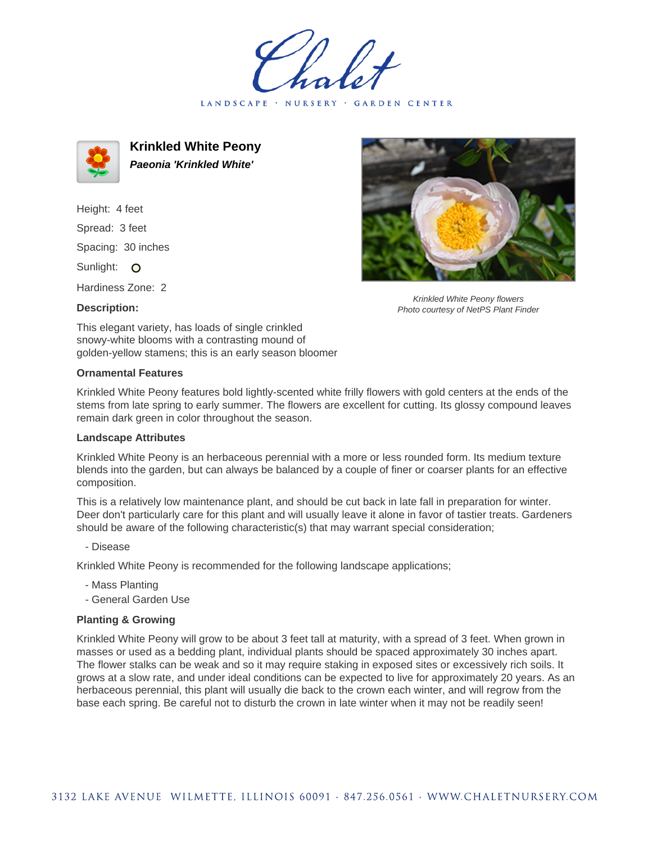LANDSCAPE · NURSERY GARDEN CENTER



**Krinkled White Peony Paeonia 'Krinkled White'**

Height: 4 feet Spread: 3 feet Spacing: 30 inches Sunlight: O

Hardiness Zone: 2

## **Description:**



Krinkled White Peony flowers Photo courtesy of NetPS Plant Finder

This elegant variety, has loads of single crinkled snowy-white blooms with a contrasting mound of golden-yellow stamens; this is an early season bloomer

## **Ornamental Features**

Krinkled White Peony features bold lightly-scented white frilly flowers with gold centers at the ends of the stems from late spring to early summer. The flowers are excellent for cutting. Its glossy compound leaves remain dark green in color throughout the season.

## **Landscape Attributes**

Krinkled White Peony is an herbaceous perennial with a more or less rounded form. Its medium texture blends into the garden, but can always be balanced by a couple of finer or coarser plants for an effective composition.

This is a relatively low maintenance plant, and should be cut back in late fall in preparation for winter. Deer don't particularly care for this plant and will usually leave it alone in favor of tastier treats. Gardeners should be aware of the following characteristic(s) that may warrant special consideration;

- Disease

Krinkled White Peony is recommended for the following landscape applications;

- Mass Planting
- General Garden Use

## **Planting & Growing**

Krinkled White Peony will grow to be about 3 feet tall at maturity, with a spread of 3 feet. When grown in masses or used as a bedding plant, individual plants should be spaced approximately 30 inches apart. The flower stalks can be weak and so it may require staking in exposed sites or excessively rich soils. It grows at a slow rate, and under ideal conditions can be expected to live for approximately 20 years. As an herbaceous perennial, this plant will usually die back to the crown each winter, and will regrow from the base each spring. Be careful not to disturb the crown in late winter when it may not be readily seen!